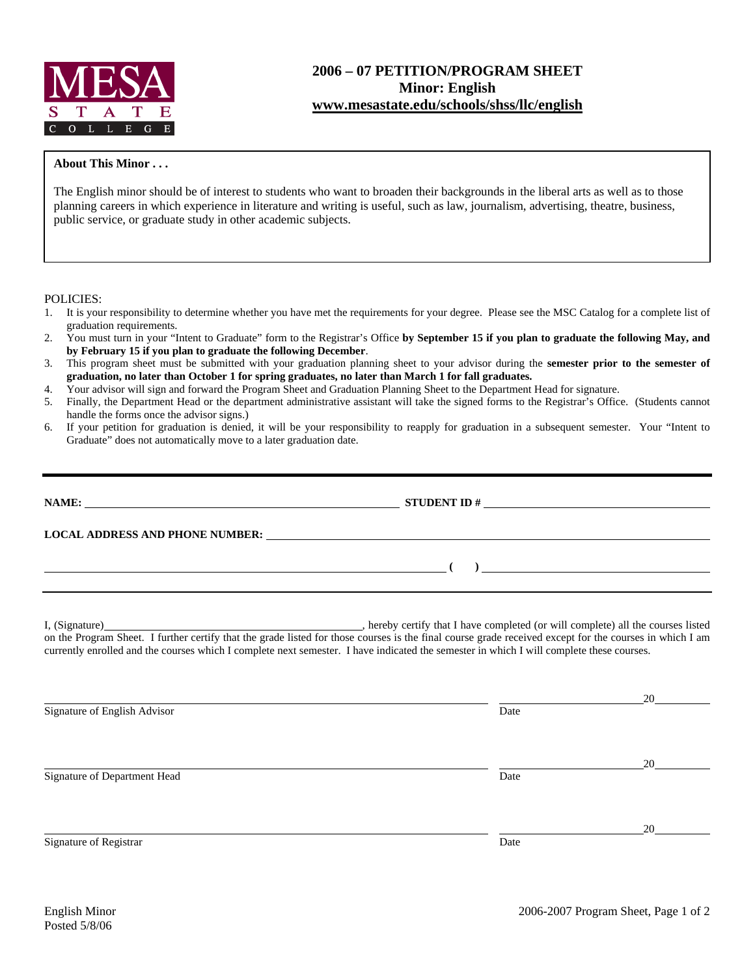

## **2006 – 07 PETITION/PROGRAM SHEET Minor: English www.mesastate.edu/schools/shss/llc/english**

## **About This Minor . . .**

The English minor should be of interest to students who want to broaden their backgrounds in the liberal arts as well as to those planning careers in which experience in literature and writing is useful, such as law, journalism, advertising, theatre, business, public service, or graduate study in other academic subjects.

## POLICIES:

- 1. It is your responsibility to determine whether you have met the requirements for your degree. Please see the MSC Catalog for a complete list of graduation requirements.
- 2. You must turn in your "Intent to Graduate" form to the Registrar's Office **by September 15 if you plan to graduate the following May, and by February 15 if you plan to graduate the following December**.
- 3. This program sheet must be submitted with your graduation planning sheet to your advisor during the **semester prior to the semester of graduation, no later than October 1 for spring graduates, no later than March 1 for fall graduates.**
- 4. Your advisor will sign and forward the Program Sheet and Graduation Planning Sheet to the Department Head for signature.
- 5. Finally, the Department Head or the department administrative assistant will take the signed forms to the Registrar's Office. (Students cannot handle the forms once the advisor signs.)
- 6. If your petition for graduation is denied, it will be your responsibility to reapply for graduation in a subsequent semester. Your "Intent to Graduate" does not automatically move to a later graduation date.

| NAME:                                         |                                                                                                                                                                                                                                |                                                                                                                                                                                                                                                                                                                                                                                             |  |  |  |  |
|-----------------------------------------------|--------------------------------------------------------------------------------------------------------------------------------------------------------------------------------------------------------------------------------|---------------------------------------------------------------------------------------------------------------------------------------------------------------------------------------------------------------------------------------------------------------------------------------------------------------------------------------------------------------------------------------------|--|--|--|--|
|                                               | LOCAL ADDRESS AND PHONE NUMBER: Under the contract of the contract of the contract of the contract of the contract of the contract of the contract of the contract of the contract of the contract of the contract of the cont |                                                                                                                                                                                                                                                                                                                                                                                             |  |  |  |  |
| <u> 2008 - Andrea Andrew Maria (h. 1878).</u> |                                                                                                                                                                                                                                | $\begin{picture}(150,10) \put(0,0){\dashbox{0.5}(10,0){ }} \put(15,0){\circle{10}} \put(15,0){\circle{10}} \put(15,0){\circle{10}} \put(15,0){\circle{10}} \put(15,0){\circle{10}} \put(15,0){\circle{10}} \put(15,0){\circle{10}} \put(15,0){\circle{10}} \put(15,0){\circle{10}} \put(15,0){\circle{10}} \put(15,0){\circle{10}} \put(15,0){\circle{10}} \put(15,0){\circle{10}} \put(15$ |  |  |  |  |
|                                               | currently enrolled and the courses which I complete next semester. I have indicated the semester in which I will complete these courses.                                                                                       |                                                                                                                                                                                                                                                                                                                                                                                             |  |  |  |  |
| Signature of English Advisor                  | Date                                                                                                                                                                                                                           |                                                                                                                                                                                                                                                                                                                                                                                             |  |  |  |  |
|                                               |                                                                                                                                                                                                                                |                                                                                                                                                                                                                                                                                                                                                                                             |  |  |  |  |
|                                               |                                                                                                                                                                                                                                | 20                                                                                                                                                                                                                                                                                                                                                                                          |  |  |  |  |
| Signature of Department Head                  | Date                                                                                                                                                                                                                           |                                                                                                                                                                                                                                                                                                                                                                                             |  |  |  |  |
|                                               |                                                                                                                                                                                                                                | 20                                                                                                                                                                                                                                                                                                                                                                                          |  |  |  |  |
| Signature of Registrar                        | Date                                                                                                                                                                                                                           |                                                                                                                                                                                                                                                                                                                                                                                             |  |  |  |  |